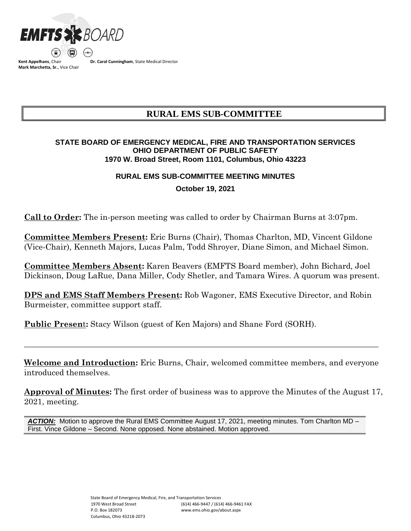

**Kent Appelhans**, Chair **Mark Marchetta, Sr.**, Vice Chair **Dr. Carol Cunningham**, State Medical Director

# **RURAL EMS SUB-COMMITTEE**

### **STATE BOARD OF EMERGENCY MEDICAL, FIRE AND TRANSPORTATION SERVICES OHIO DEPARTMENT OF PUBLIC SAFETY 1970 W. Broad Street, Room 1101, Columbus, Ohio 43223**

### **RURAL EMS SUB-COMMITTEE MEETING MINUTES**

**October 19, 2021**

**Call to Order:** The in-person meeting was called to order by Chairman Burns at 3:07pm.

**Committee Members Present:** Eric Burns (Chair), Thomas Charlton, MD, Vincent Gildone (Vice-Chair), Kenneth Majors, Lucas Palm, Todd Shroyer, Diane Simon, and Michael Simon.

**Committee Members Absent:** Karen Beavers (EMFTS Board member), John Bichard, Joel Dickinson, Doug LaRue, Dana Miller, Cody Shetler, and Tamara Wires. A quorum was present.

**DPS and EMS Staff Members Present:** Rob Wagoner, EMS Executive Director, and Robin Burmeister, committee support staff.

**Public Present:** Stacy Wilson (guest of Ken Majors) and Shane Ford (SORH).

**Welcome and Introduction:** Eric Burns, Chair, welcomed committee members, and everyone introduced themselves.

 $\_$  , and the set of the set of the set of the set of the set of the set of the set of the set of the set of the set of the set of the set of the set of the set of the set of the set of the set of the set of the set of th

**Approval of Minutes:** The first order of business was to approve the Minutes of the August 17, 2021, meeting.

*ACTION:* Motion to approve the Rural EMS Committee August 17, 2021, meeting minutes. Tom Charlton MD – First. Vince Gildone – Second. None opposed. None abstained. Motion approved.